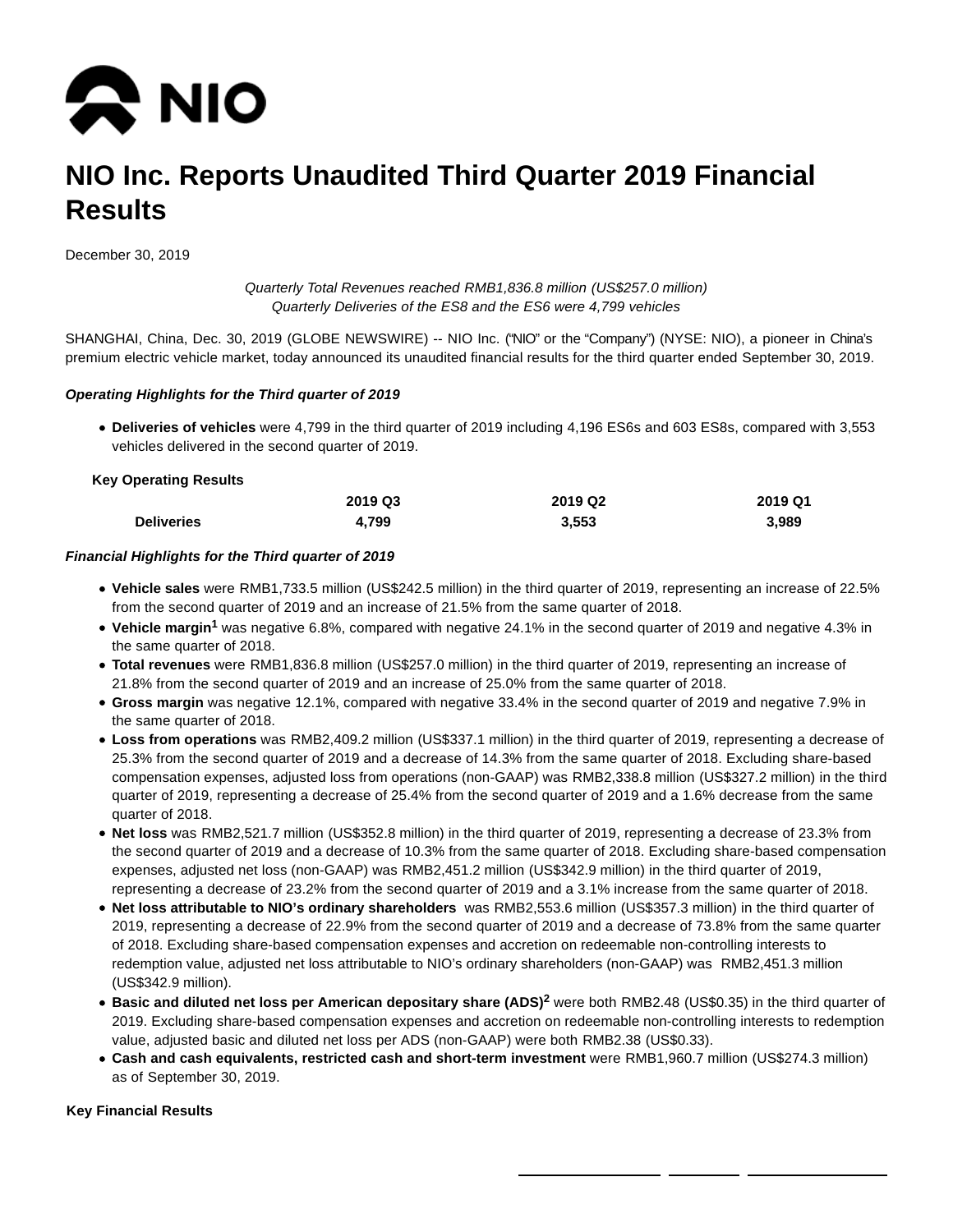

# **NIO Inc. Reports Unaudited Third Quarter 2019 Financial Results**

December 30, 2019

## Quarterly Total Revenues reached RMB1,836.8 million (US\$257.0 million) Quarterly Deliveries of the ES8 and the ES6 were 4,799 vehicles

SHANGHAI, China, Dec. 30, 2019 (GLOBE NEWSWIRE) -- NIO Inc. ("NIO" or the "Company") (NYSE: NIO), a pioneer in China's premium electric vehicle market, today announced its unaudited financial results for the third quarter ended September 30, 2019.

#### **Operating Highlights for the Third quarter of 2019**

**Deliveries of vehicles** were 4,799 in the third quarter of 2019 including 4,196 ES6s and 603 ES8s, compared with 3,553 vehicles delivered in the second quarter of 2019.

#### **Key Operating Results**

|                   | 2019 Q3 | 2019 Q <sub>2</sub> | 2019 Q1 |
|-------------------|---------|---------------------|---------|
| <b>Deliveries</b> | 4.799   | 3,553               | 3.989   |

#### **Financial Highlights for the Third quarter of 2019**

- **Vehicle sales** were RMB1,733.5 million (US\$242.5 million) in the third quarter of 2019, representing an increase of 22.5% from the second quarter of 2019 and an increase of 21.5% from the same quarter of 2018.
- **Vehicle margin<sup>1</sup>** was negative 6.8%, compared with negative 24.1% in the second quarter of 2019 and negative 4.3% in the same quarter of 2018.
- **Total revenues** were RMB1,836.8 million (US\$257.0 million) in the third quarter of 2019, representing an increase of 21.8% from the second quarter of 2019 and an increase of 25.0% from the same quarter of 2018.
- **Gross margin** was negative 12.1%, compared with negative 33.4% in the second quarter of 2019 and negative 7.9% in the same quarter of 2018.
- **Loss from operations** was RMB2,409.2 million (US\$337.1 million) in the third quarter of 2019, representing a decrease of 25.3% from the second quarter of 2019 and a decrease of 14.3% from the same quarter of 2018. Excluding share-based compensation expenses, adjusted loss from operations (non-GAAP) was RMB2,338.8 million (US\$327.2 million) in the third quarter of 2019, representing a decrease of 25.4% from the second quarter of 2019 and a 1.6% decrease from the same quarter of 2018.
- **Net loss** was RMB2,521.7 million (US\$352.8 million) in the third quarter of 2019, representing a decrease of 23.3% from the second quarter of 2019 and a decrease of 10.3% from the same quarter of 2018. Excluding share-based compensation expenses, adjusted net loss (non-GAAP) was RMB2,451.2 million (US\$342.9 million) in the third quarter of 2019, representing a decrease of 23.2% from the second quarter of 2019 and a 3.1% increase from the same quarter of 2018.
- **Net loss attributable to NIO's ordinary shareholders** was RMB2,553.6 million (US\$357.3 million) in the third quarter of 2019, representing a decrease of 22.9% from the second quarter of 2019 and a decrease of 73.8% from the same quarter of 2018. Excluding share-based compensation expenses and accretion on redeemable non-controlling interests to redemption value, adjusted net loss attributable to NIO's ordinary shareholders (non-GAAP) was RMB2,451.3 million (US\$342.9 million).
- **Basic and diluted net loss per American depositary share (ADS)<sup>2</sup> were both RMB2.48 (US\$0.35) in the third quarter of** 2019. Excluding share-based compensation expenses and accretion on redeemable non-controlling interests to redemption value, adjusted basic and diluted net loss per ADS (non-GAAP) were both RMB2.38 (US\$0.33).
- **Cash and cash equivalents, restricted cash and short-term investment** were RMB1,960.7 million (US\$274.3 million) as of September 30, 2019.

#### **Key Financial Results**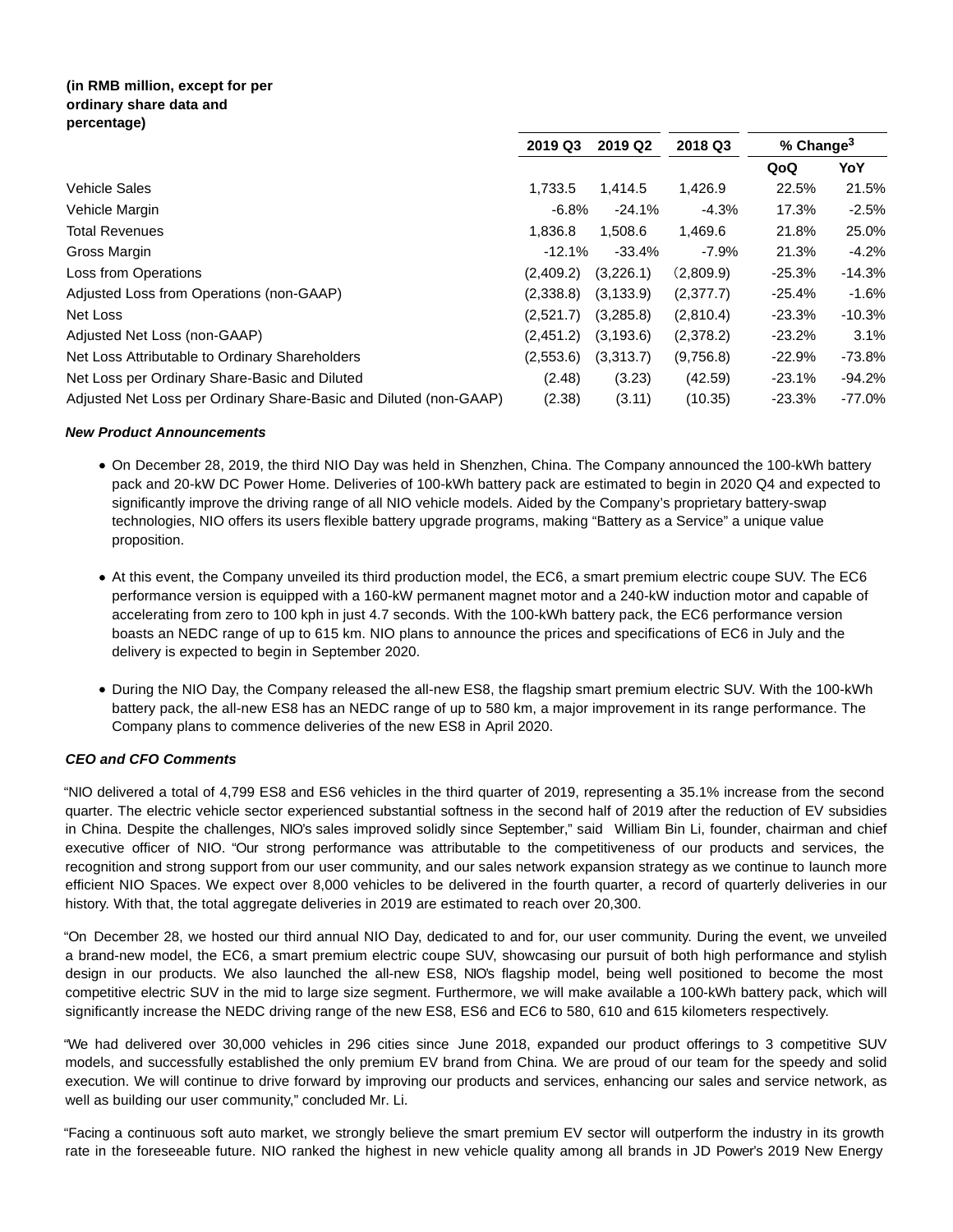# **(in RMB million, except for per ordinary share data and percentage)**

|                                                                   | 2019 Q3   | 2019 Q2    | 2018 Q3   | % $Change3$ |          |
|-------------------------------------------------------------------|-----------|------------|-----------|-------------|----------|
|                                                                   |           |            |           | QoQ         | YoY      |
| <b>Vehicle Sales</b>                                              | 1,733.5   | 1.414.5    | 1,426.9   | 22.5%       | 21.5%    |
| Vehicle Margin                                                    | $-6.8%$   | $-24.1%$   | $-4.3%$   | 17.3%       | $-2.5\%$ |
| <b>Total Revenues</b>                                             | 1,836.8   | 1,508.6    | 1,469.6   | 21.8%       | 25.0%    |
| Gross Margin                                                      | $-12.1%$  | $-33.4%$   | $-7.9%$   | 21.3%       | -4.2%    |
| Loss from Operations                                              | (2,409.2) | (3,226.1)  | (2,809.9) | $-25.3%$    | $-14.3%$ |
| Adjusted Loss from Operations (non-GAAP)                          | (2,338.8) | (3, 133.9) | (2,377.7) | $-25.4\%$   | -1.6%    |
| Net Loss                                                          | (2,521.7) | (3,285.8)  | (2,810.4) | $-23.3%$    | $-10.3%$ |
| Adjusted Net Loss (non-GAAP)                                      | (2,451.2) | (3, 193.6) | (2,378.2) | $-23.2%$    | 3.1%     |
| Net Loss Attributable to Ordinary Shareholders                    | (2,553.6) | (3,313.7)  | (9,756.8) | $-22.9%$    | -73.8%   |
| Net Loss per Ordinary Share-Basic and Diluted                     | (2.48)    | (3.23)     | (42.59)   | $-23.1%$    | -94.2%   |
| Adjusted Net Loss per Ordinary Share-Basic and Diluted (non-GAAP) | (2.38)    | (3.11)     | (10.35)   | $-23.3%$    | -77.0%   |

## **New Product Announcements**

- On December 28, 2019, the third NIO Day was held in Shenzhen, China. The Company announced the 100-kWh battery pack and 20-kW DC Power Home. Deliveries of 100-kWh battery pack are estimated to begin in 2020 Q4 and expected to significantly improve the driving range of all NIO vehicle models. Aided by the Company's proprietary battery-swap technologies, NIO offers its users flexible battery upgrade programs, making "Battery as a Service" a unique value proposition.
- At this event, the Company unveiled its third production model, the EC6, a smart premium electric coupe SUV. The EC6 performance version is equipped with a 160-kW permanent magnet motor and a 240-kW induction motor and capable of accelerating from zero to 100 kph in just 4.7 seconds. With the 100-kWh battery pack, the EC6 performance version boasts an NEDC range of up to 615 km. NIO plans to announce the prices and specifications of EC6 in July and the delivery is expected to begin in September 2020.
- During the NIO Day, the Company released the all-new ES8, the flagship smart premium electric SUV. With the 100-kWh battery pack, the all-new ES8 has an NEDC range of up to 580 km, a major improvement in its range performance. The Company plans to commence deliveries of the new ES8 in April 2020.

# **CEO and CFO Comments**

"NIO delivered a total of 4,799 ES8 and ES6 vehicles in the third quarter of 2019, representing a 35.1% increase from the second quarter. The electric vehicle sector experienced substantial softness in the second half of 2019 after the reduction of EV subsidies in China. Despite the challenges, NIO's sales improved solidly since September," said William Bin Li, founder, chairman and chief executive officer of NIO. "Our strong performance was attributable to the competitiveness of our products and services, the recognition and strong support from our user community, and our sales network expansion strategy as we continue to launch more efficient NIO Spaces. We expect over 8,000 vehicles to be delivered in the fourth quarter, a record of quarterly deliveries in our history. With that, the total aggregate deliveries in 2019 are estimated to reach over 20,300.

"On December 28, we hosted our third annual NIO Day, dedicated to and for, our user community. During the event, we unveiled a brand-new model, the EC6, a smart premium electric coupe SUV, showcasing our pursuit of both high performance and stylish design in our products. We also launched the all-new ES8, NIO's flagship model, being well positioned to become the most competitive electric SUV in the mid to large size segment. Furthermore, we will make available a 100-kWh battery pack, which will significantly increase the NEDC driving range of the new ES8, ES6 and EC6 to 580, 610 and 615 kilometers respectively.

"We had delivered over 30,000 vehicles in 296 cities since June 2018, expanded our product offerings to 3 competitive SUV models, and successfully established the only premium EV brand from China. We are proud of our team for the speedy and solid execution. We will continue to drive forward by improving our products and services, enhancing our sales and service network, as well as building our user community," concluded Mr. Li.

"Facing a continuous soft auto market, we strongly believe the smart premium EV sector will outperform the industry in its growth rate in the foreseeable future. NIO ranked the highest in new vehicle quality among all brands in JD Power's 2019 New Energy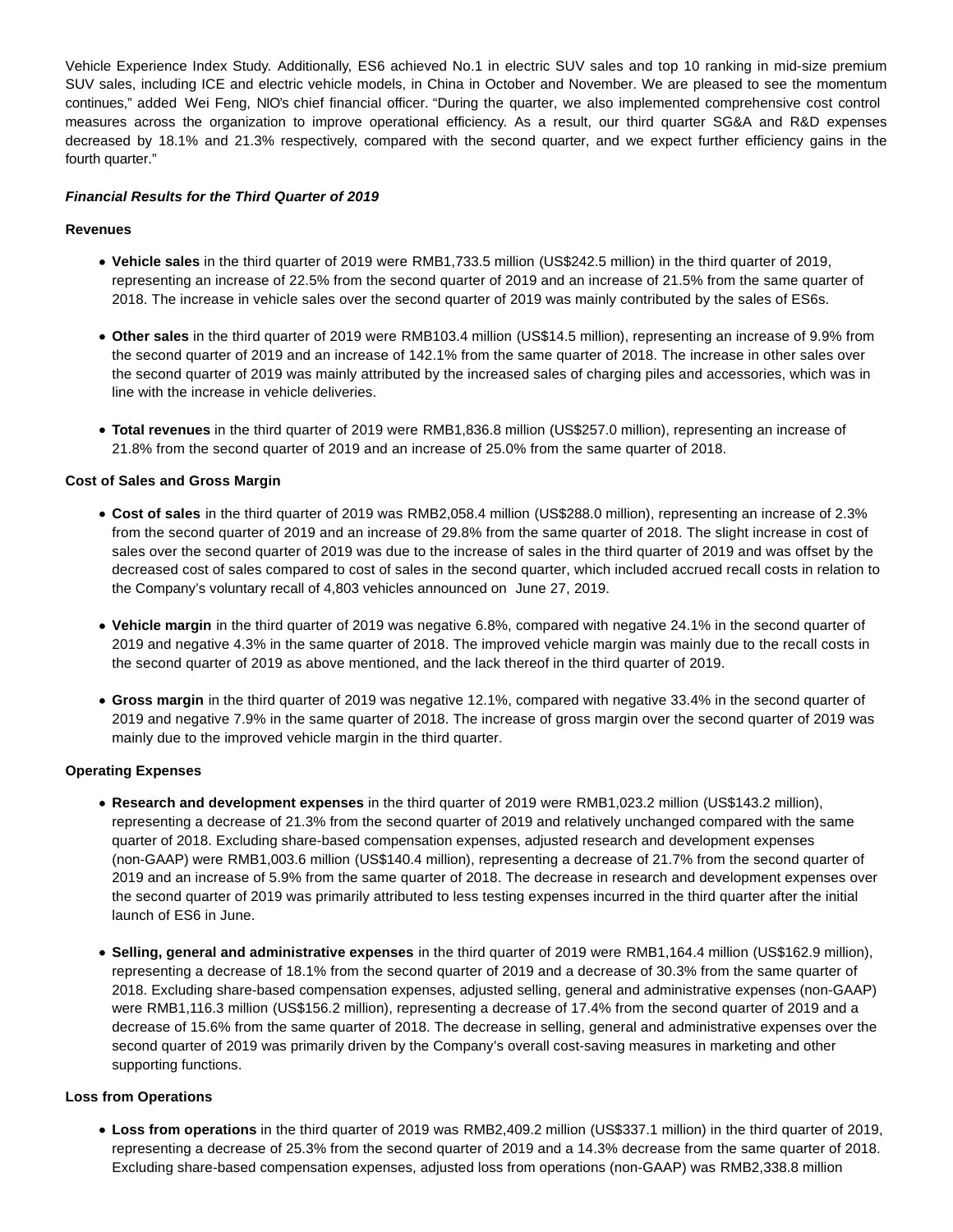Vehicle Experience Index Study. Additionally, ES6 achieved No.1 in electric SUV sales and top 10 ranking in mid-size premium SUV sales, including ICE and electric vehicle models, in China in October and November. We are pleased to see the momentum continues," added Wei Feng, NIO's chief financial officer. "During the quarter, we also implemented comprehensive cost control measures across the organization to improve operational efficiency. As a result, our third quarter SG&A and R&D expenses decreased by 18.1% and 21.3% respectively, compared with the second quarter, and we expect further efficiency gains in the fourth quarter."

## **Financial Results for the Third Quarter of 2019**

#### **Revenues**

- **Vehicle sales** in the third quarter of 2019 were RMB1,733.5 million (US\$242.5 million) in the third quarter of 2019, representing an increase of 22.5% from the second quarter of 2019 and an increase of 21.5% from the same quarter of 2018. The increase in vehicle sales over the second quarter of 2019 was mainly contributed by the sales of ES6s.
- **Other sales** in the third quarter of 2019 were RMB103.4 million (US\$14.5 million), representing an increase of 9.9% from the second quarter of 2019 and an increase of 142.1% from the same quarter of 2018. The increase in other sales over the second quarter of 2019 was mainly attributed by the increased sales of charging piles and accessories, which was in line with the increase in vehicle deliveries.
- **Total revenues** in the third quarter of 2019 were RMB1,836.8 million (US\$257.0 million), representing an increase of 21.8% from the second quarter of 2019 and an increase of 25.0% from the same quarter of 2018.

#### **Cost of Sales and Gross Margin**

- **Cost of sales** in the third quarter of 2019 was RMB2,058.4 million (US\$288.0 million), representing an increase of 2.3% from the second quarter of 2019 and an increase of 29.8% from the same quarter of 2018. The slight increase in cost of sales over the second quarter of 2019 was due to the increase of sales in the third quarter of 2019 and was offset by the decreased cost of sales compared to cost of sales in the second quarter, which included accrued recall costs in relation to the Company's voluntary recall of 4,803 vehicles announced on June 27, 2019.
- **Vehicle margin** in the third quarter of 2019 was negative 6.8%, compared with negative 24.1% in the second quarter of 2019 and negative 4.3% in the same quarter of 2018. The improved vehicle margin was mainly due to the recall costs in the second quarter of 2019 as above mentioned, and the lack thereof in the third quarter of 2019.
- **Gross margin** in the third quarter of 2019 was negative 12.1%, compared with negative 33.4% in the second quarter of 2019 and negative 7.9% in the same quarter of 2018. The increase of gross margin over the second quarter of 2019 was mainly due to the improved vehicle margin in the third quarter.

#### **Operating Expenses**

- **Research and development expenses** in the third quarter of 2019 were RMB1,023.2 million (US\$143.2 million), representing a decrease of 21.3% from the second quarter of 2019 and relatively unchanged compared with the same quarter of 2018. Excluding share-based compensation expenses, adjusted research and development expenses (non-GAAP) were RMB1,003.6 million (US\$140.4 million), representing a decrease of 21.7% from the second quarter of 2019 and an increase of 5.9% from the same quarter of 2018. The decrease in research and development expenses over the second quarter of 2019 was primarily attributed to less testing expenses incurred in the third quarter after the initial launch of ES6 in June.
- **Selling, general and administrative expenses** in the third quarter of 2019 were RMB1,164.4 million (US\$162.9 million), representing a decrease of 18.1% from the second quarter of 2019 and a decrease of 30.3% from the same quarter of 2018. Excluding share-based compensation expenses, adjusted selling, general and administrative expenses (non-GAAP) were RMB1,116.3 million (US\$156.2 million), representing a decrease of 17.4% from the second quarter of 2019 and a decrease of 15.6% from the same quarter of 2018. The decrease in selling, general and administrative expenses over the second quarter of 2019 was primarily driven by the Company's overall cost-saving measures in marketing and other supporting functions.

## **Loss from Operations**

**Loss from operations** in the third quarter of 2019 was RMB2,409.2 million (US\$337.1 million) in the third quarter of 2019, representing a decrease of 25.3% from the second quarter of 2019 and a 14.3% decrease from the same quarter of 2018. Excluding share-based compensation expenses, adjusted loss from operations (non-GAAP) was RMB2,338.8 million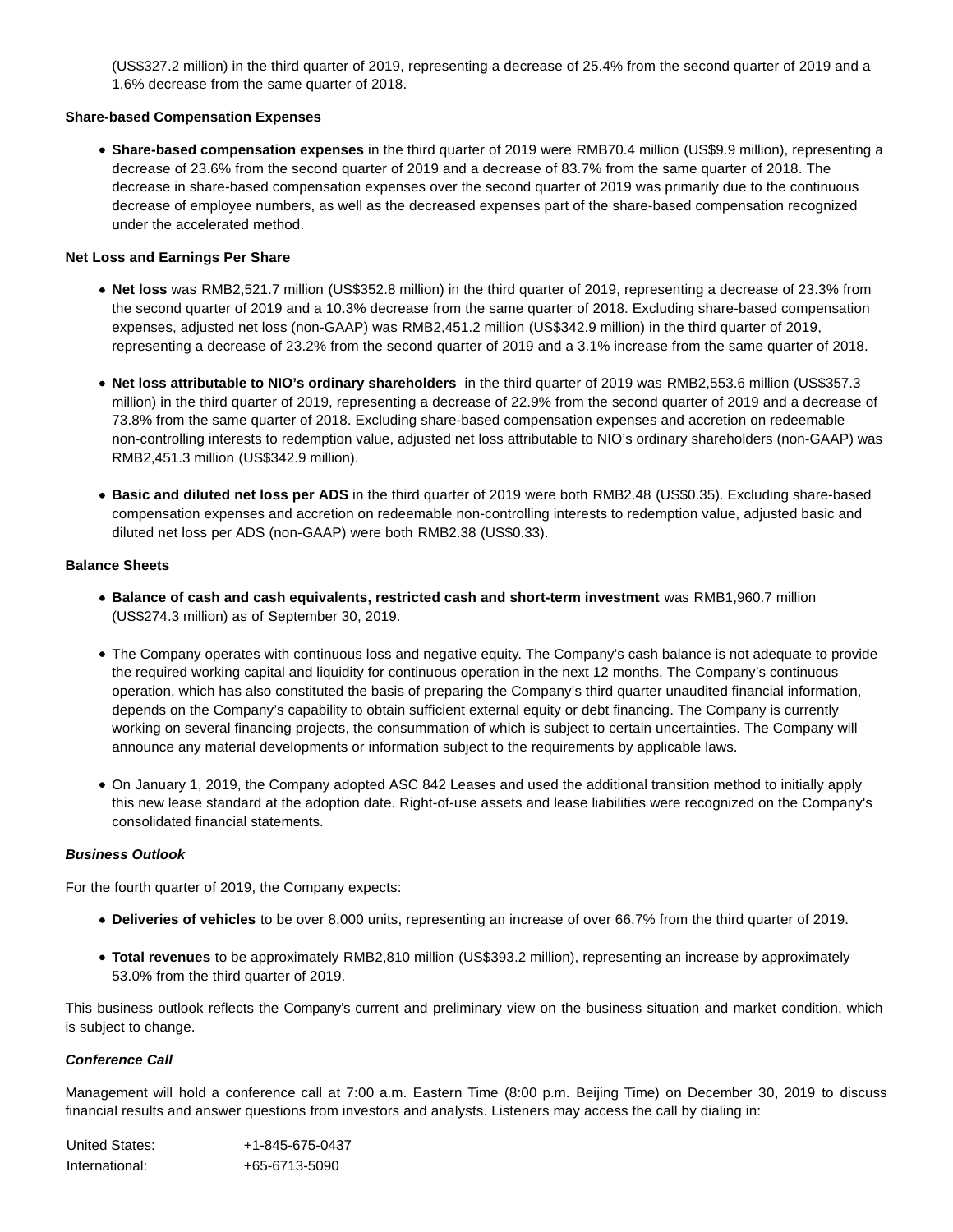(US\$327.2 million) in the third quarter of 2019, representing a decrease of 25.4% from the second quarter of 2019 and a 1.6% decrease from the same quarter of 2018.

#### **Share-based Compensation Expenses**

**Share-based compensation expenses** in the third quarter of 2019 were RMB70.4 million (US\$9.9 million), representing a decrease of 23.6% from the second quarter of 2019 and a decrease of 83.7% from the same quarter of 2018. The decrease in share-based compensation expenses over the second quarter of 2019 was primarily due to the continuous decrease of employee numbers, as well as the decreased expenses part of the share-based compensation recognized under the accelerated method.

#### **Net Loss and Earnings Per Share**

- **Net loss** was RMB2,521.7 million (US\$352.8 million) in the third quarter of 2019, representing a decrease of 23.3% from the second quarter of 2019 and a 10.3% decrease from the same quarter of 2018. Excluding share-based compensation expenses, adjusted net loss (non-GAAP) was RMB2,451.2 million (US\$342.9 million) in the third quarter of 2019, representing a decrease of 23.2% from the second quarter of 2019 and a 3.1% increase from the same quarter of 2018.
- **Net loss attributable to NIO's ordinary shareholders** in the third quarter of 2019 was RMB2,553.6 million (US\$357.3 million) in the third quarter of 2019, representing a decrease of 22.9% from the second quarter of 2019 and a decrease of 73.8% from the same quarter of 2018. Excluding share-based compensation expenses and accretion on redeemable non-controlling interests to redemption value, adjusted net loss attributable to NIO's ordinary shareholders (non-GAAP) was RMB2,451.3 million (US\$342.9 million).
- **Basic and diluted net loss per ADS** in the third quarter of 2019 were both RMB2.48 (US\$0.35). Excluding share-based compensation expenses and accretion on redeemable non-controlling interests to redemption value, adjusted basic and diluted net loss per ADS (non-GAAP) were both RMB2.38 (US\$0.33).

#### **Balance Sheets**

- **Balance of cash and cash equivalents, restricted cash and short-term investment** was RMB1,960.7 million (US\$274.3 million) as of September 30, 2019.
- The Company operates with continuous loss and negative equity. The Company's cash balance is not adequate to provide the required working capital and liquidity for continuous operation in the next 12 months. The Company's continuous operation, which has also constituted the basis of preparing the Company's third quarter unaudited financial information, depends on the Company's capability to obtain sufficient external equity or debt financing. The Company is currently working on several financing projects, the consummation of which is subject to certain uncertainties. The Company will announce any material developments or information subject to the requirements by applicable laws.
- On January 1, 2019, the Company adopted ASC 842 Leases and used the additional transition method to initially apply this new lease standard at the adoption date. Right-of-use assets and lease liabilities were recognized on the Company's consolidated financial statements.

#### **Business Outlook**

For the fourth quarter of 2019, the Company expects:

- **Deliveries of vehicles** to be over 8,000 units, representing an increase of over 66.7% from the third quarter of 2019.
- **Total revenues** to be approximately RMB2,810 million (US\$393.2 million), representing an increase by approximately 53.0% from the third quarter of 2019.

This business outlook reflects the Company's current and preliminary view on the business situation and market condition, which is subject to change.

#### **Conference Call**

Management will hold a conference call at 7:00 a.m. Eastern Time (8:00 p.m. Beijing Time) on December 30, 2019 to discuss financial results and answer questions from investors and analysts. Listeners may access the call by dialing in:

| United States: | +1-845-675-0437 |
|----------------|-----------------|
| International: | +65-6713-5090   |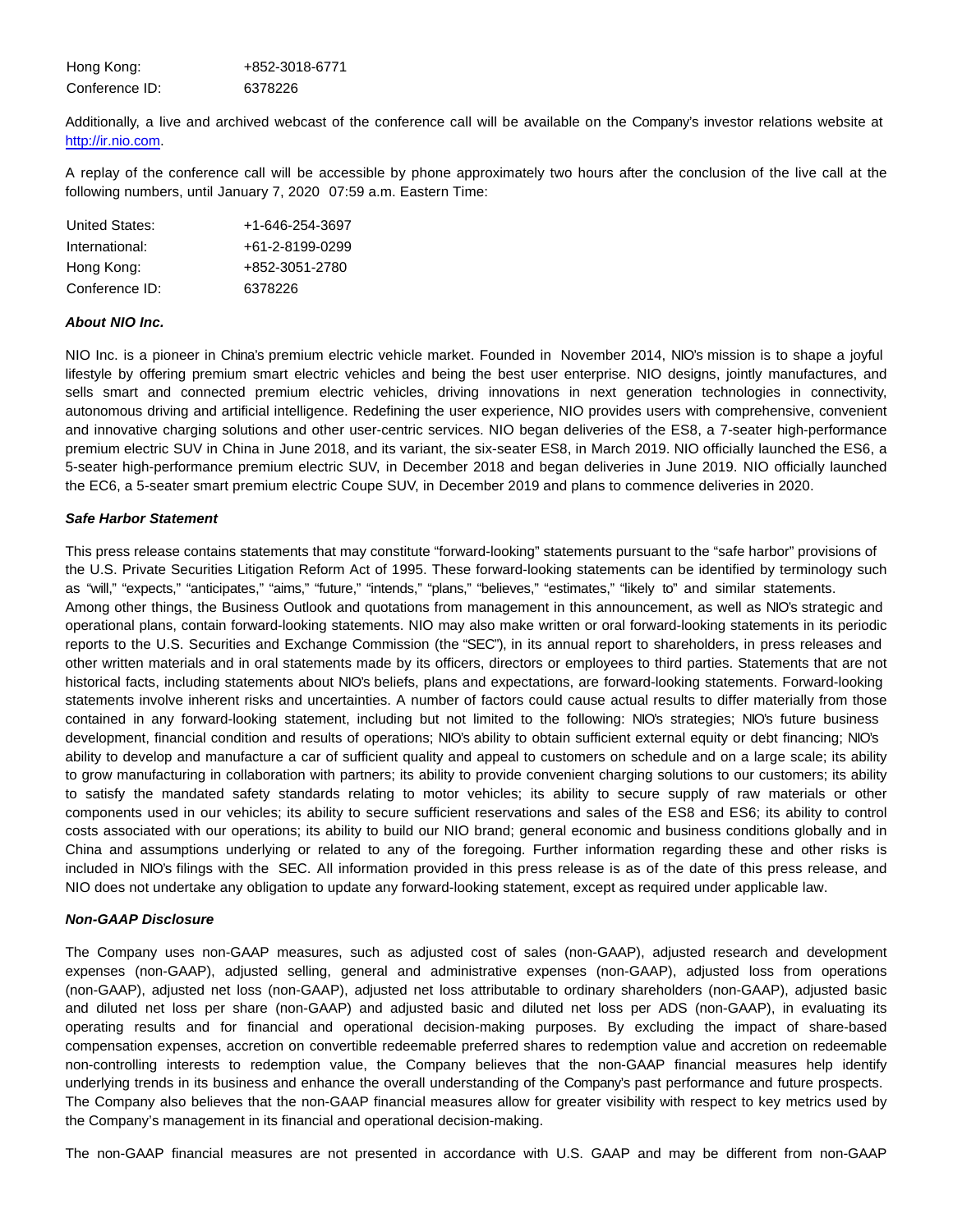Hong Kong: +852-3018-6771 Conference ID: 6378226

Additionally, a live and archived webcast of the conference call will be available on the Company's investor relations website at [http://ir.nio.com.](http://ir.nio.com/)

A replay of the conference call will be accessible by phone approximately two hours after the conclusion of the live call at the following numbers, until January 7, 2020 07:59 a.m. Eastern Time:

| United States: | +1-646-254-3697 |
|----------------|-----------------|
| International: | +61-2-8199-0299 |
| Hong Kong:     | +852-3051-2780  |
| Conference ID: | 6378226         |

#### **About NIO Inc.**

NIO Inc. is a pioneer in China's premium electric vehicle market. Founded in November 2014, NIO's mission is to shape a joyful lifestyle by offering premium smart electric vehicles and being the best user enterprise. NIO designs, jointly manufactures, and sells smart and connected premium electric vehicles, driving innovations in next generation technologies in connectivity, autonomous driving and artificial intelligence. Redefining the user experience, NIO provides users with comprehensive, convenient and innovative charging solutions and other user-centric services. NIO began deliveries of the ES8, a 7-seater high-performance premium electric SUV in China in June 2018, and its variant, the six-seater ES8, in March 2019. NIO officially launched the ES6, a 5-seater high-performance premium electric SUV, in December 2018 and began deliveries in June 2019. NIO officially launched the EC6, a 5-seater smart premium electric Coupe SUV, in December 2019 and plans to commence deliveries in 2020.

#### **Safe Harbor Statement**

This press release contains statements that may constitute "forward-looking" statements pursuant to the "safe harbor" provisions of the U.S. Private Securities Litigation Reform Act of 1995. These forward-looking statements can be identified by terminology such as "will," "expects," "anticipates," "aims," "future," "intends," "plans," "believes," "estimates," "likely to" and similar statements. Among other things, the Business Outlook and quotations from management in this announcement, as well as NIO's strategic and operational plans, contain forward-looking statements. NIO may also make written or oral forward-looking statements in its periodic reports to the U.S. Securities and Exchange Commission (the "SEC"), in its annual report to shareholders, in press releases and other written materials and in oral statements made by its officers, directors or employees to third parties. Statements that are not historical facts, including statements about NIO's beliefs, plans and expectations, are forward-looking statements. Forward-looking statements involve inherent risks and uncertainties. A number of factors could cause actual results to differ materially from those contained in any forward-looking statement, including but not limited to the following: NIO's strategies; NIO's future business development, financial condition and results of operations; NIO's ability to obtain sufficient external equity or debt financing; NIO's ability to develop and manufacture a car of sufficient quality and appeal to customers on schedule and on a large scale; its ability to grow manufacturing in collaboration with partners; its ability to provide convenient charging solutions to our customers; its ability to satisfy the mandated safety standards relating to motor vehicles; its ability to secure supply of raw materials or other components used in our vehicles; its ability to secure sufficient reservations and sales of the ES8 and ES6; its ability to control costs associated with our operations; its ability to build our NIO brand; general economic and business conditions globally and in China and assumptions underlying or related to any of the foregoing. Further information regarding these and other risks is included in NIO's filings with the SEC. All information provided in this press release is as of the date of this press release, and NIO does not undertake any obligation to update any forward-looking statement, except as required under applicable law.

#### **Non-GAAP Disclosure**

The Company uses non-GAAP measures, such as adjusted cost of sales (non-GAAP), adjusted research and development expenses (non-GAAP), adjusted selling, general and administrative expenses (non-GAAP), adjusted loss from operations (non-GAAP), adjusted net loss (non-GAAP), adjusted net loss attributable to ordinary shareholders (non-GAAP), adjusted basic and diluted net loss per share (non-GAAP) and adjusted basic and diluted net loss per ADS (non-GAAP), in evaluating its operating results and for financial and operational decision-making purposes. By excluding the impact of share-based compensation expenses, accretion on convertible redeemable preferred shares to redemption value and accretion on redeemable non-controlling interests to redemption value, the Company believes that the non-GAAP financial measures help identify underlying trends in its business and enhance the overall understanding of the Company's past performance and future prospects. The Company also believes that the non-GAAP financial measures allow for greater visibility with respect to key metrics used by the Company's management in its financial and operational decision-making.

The non-GAAP financial measures are not presented in accordance with U.S. GAAP and may be different from non-GAAP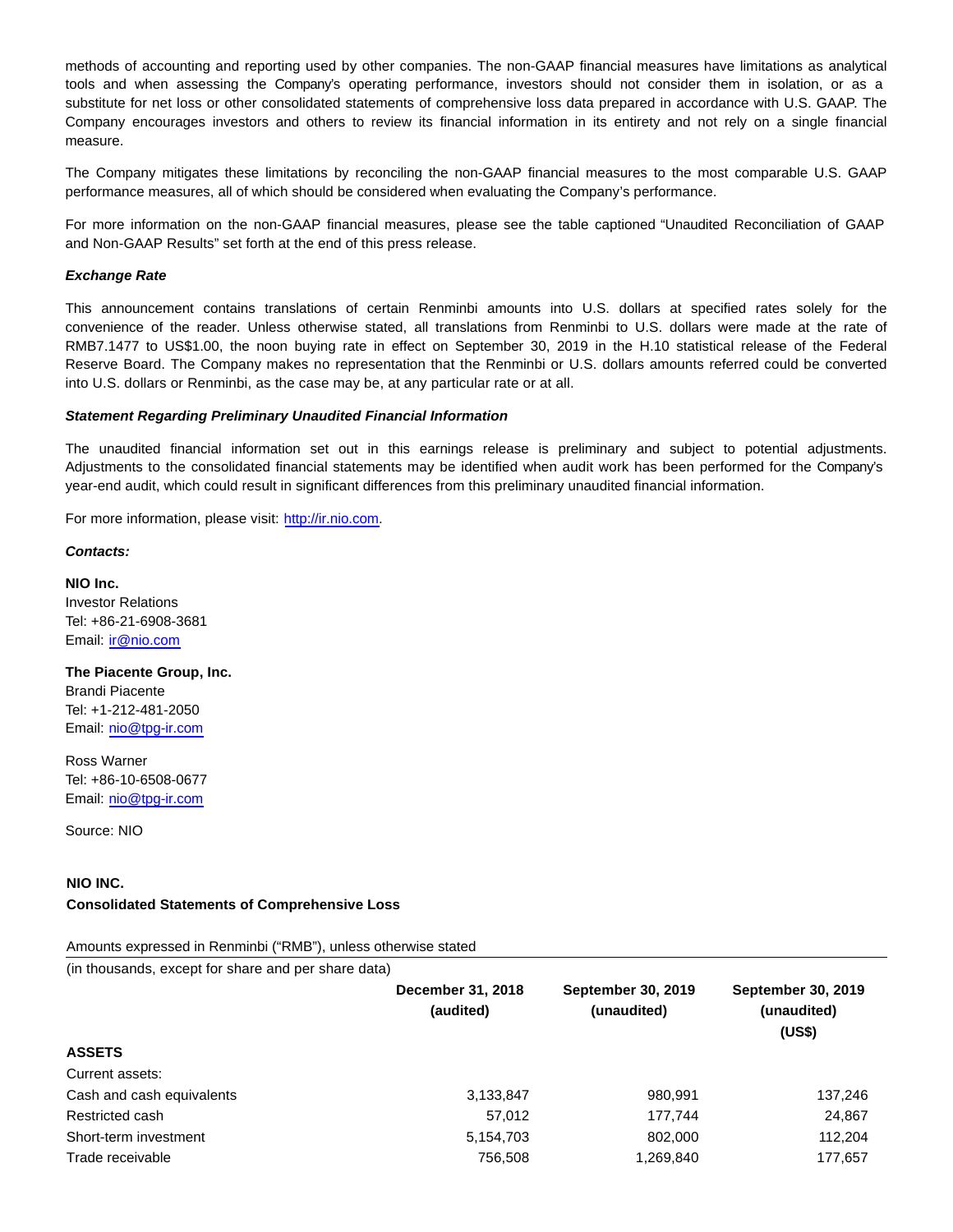methods of accounting and reporting used by other companies. The non-GAAP financial measures have limitations as analytical tools and when assessing the Company's operating performance, investors should not consider them in isolation, or as a substitute for net loss or other consolidated statements of comprehensive loss data prepared in accordance with U.S. GAAP. The Company encourages investors and others to review its financial information in its entirety and not rely on a single financial measure.

The Company mitigates these limitations by reconciling the non-GAAP financial measures to the most comparable U.S. GAAP performance measures, all of which should be considered when evaluating the Company's performance.

For more information on the non-GAAP financial measures, please see the table captioned "Unaudited Reconciliation of GAAP and Non-GAAP Results" set forth at the end of this press release.

#### **Exchange Rate**

This announcement contains translations of certain Renminbi amounts into U.S. dollars at specified rates solely for the convenience of the reader. Unless otherwise stated, all translations from Renminbi to U.S. dollars were made at the rate of RMB7.1477 to US\$1.00, the noon buying rate in effect on September 30, 2019 in the H.10 statistical release of the Federal Reserve Board. The Company makes no representation that the Renminbi or U.S. dollars amounts referred could be converted into U.S. dollars or Renminbi, as the case may be, at any particular rate or at all.

#### **Statement Regarding Preliminary Unaudited Financial Information**

The unaudited financial information set out in this earnings release is preliminary and subject to potential adjustments. Adjustments to the consolidated financial statements may be identified when audit work has been performed for the Company's year-end audit, which could result in significant differences from this preliminary unaudited financial information.

For more information, please visit: [http://ir.nio.com.](http://ir.nio.com/)

#### **Contacts:**

**NIO Inc.** Investor Relations Tel: +86-21-6908-3681 Email: [ir@nio.com](mailto:ir@nio.com)

**The Piacente Group, Inc.** Brandi Piacente Tel: +1-212-481-2050 Email: [nio@tpg-ir.com](mailto:nio@tpg-ir.com)

Ross Warner Tel: +86-10-6508-0677 Email: [nio@tpg-ir.com](mailto:nio@tpg-ir.com)

Source: NIO

#### **NIO INC.**

# **Consolidated Statements of Comprehensive Loss**

(in thousands, except for share and per share data)

|                           | December 31, 2018<br>(audited) | <b>September 30, 2019</b><br>(unaudited) | September 30, 2019<br>(unaudited)<br>(US\$) |  |
|---------------------------|--------------------------------|------------------------------------------|---------------------------------------------|--|
| <b>ASSETS</b>             |                                |                                          |                                             |  |
| Current assets:           |                                |                                          |                                             |  |
| Cash and cash equivalents | 3,133,847                      | 980,991                                  | 137,246                                     |  |
| Restricted cash           | 57,012                         | 177,744                                  | 24,867                                      |  |
| Short-term investment     | 5,154,703                      | 802,000                                  | 112,204                                     |  |
| Trade receivable          | 756,508                        | 1,269,840                                | 177,657                                     |  |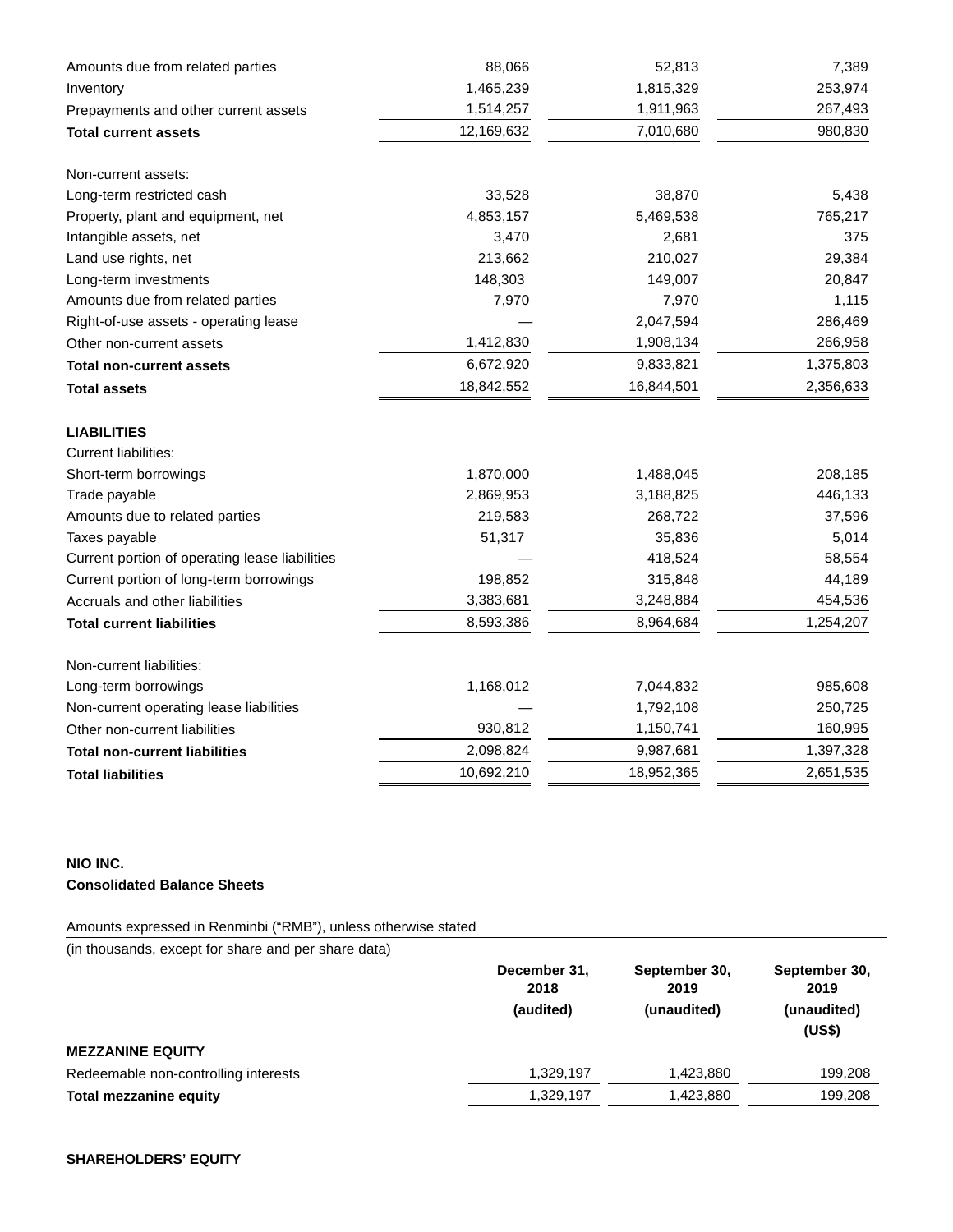| Amounts due from related parties               | 88,066     | 52,813     | 7,389     |
|------------------------------------------------|------------|------------|-----------|
| Inventory                                      | 1,465,239  | 1,815,329  | 253,974   |
| Prepayments and other current assets           | 1,514,257  | 1,911,963  | 267,493   |
| <b>Total current assets</b>                    | 12,169,632 | 7,010,680  | 980,830   |
| Non-current assets:                            |            |            |           |
| Long-term restricted cash                      | 33,528     | 38,870     | 5,438     |
| Property, plant and equipment, net             | 4,853,157  | 5,469,538  | 765,217   |
| Intangible assets, net                         | 3,470      | 2,681      | 375       |
| Land use rights, net                           | 213,662    | 210,027    | 29,384    |
| Long-term investments                          | 148,303    | 149,007    | 20,847    |
| Amounts due from related parties               | 7,970      | 7,970      | 1,115     |
| Right-of-use assets - operating lease          |            | 2,047,594  | 286,469   |
| Other non-current assets                       | 1,412,830  | 1,908,134  | 266,958   |
| <b>Total non-current assets</b>                | 6,672,920  | 9,833,821  | 1,375,803 |
| <b>Total assets</b>                            | 18,842,552 | 16,844,501 | 2,356,633 |
| <b>LIABILITIES</b>                             |            |            |           |
| <b>Current liabilities:</b>                    |            |            |           |
| Short-term borrowings                          | 1,870,000  | 1,488,045  | 208,185   |
| Trade payable                                  | 2,869,953  | 3,188,825  | 446,133   |
| Amounts due to related parties                 | 219,583    | 268,722    | 37,596    |
| Taxes payable                                  | 51,317     | 35,836     | 5,014     |
| Current portion of operating lease liabilities |            | 418,524    | 58,554    |
| Current portion of long-term borrowings        | 198,852    | 315,848    | 44,189    |
| Accruals and other liabilities                 | 3,383,681  | 3,248,884  | 454,536   |
| <b>Total current liabilities</b>               | 8,593,386  | 8,964,684  | 1,254,207 |
| Non-current liabilities:                       |            |            |           |
| Long-term borrowings                           | 1,168,012  | 7,044,832  | 985,608   |
| Non-current operating lease liabilities        |            | 1,792,108  | 250,725   |
| Other non-current liabilities                  | 930,812    | 1,150,741  | 160,995   |
| Total non-current liabilities                  | 2,098,824  | 9,987,681  | 1,397,328 |
| <b>Total liabilities</b>                       | 10,692,210 | 18,952,365 | 2,651,535 |

# **NIO INC. Consolidated Balance Sheets**

Amounts expressed in Renminbi ("RMB"), unless otherwise stated

| (in thousands, except for share and per share data) | December 31,<br>2018 | September 30,<br>2019 | September 30,<br>2019 |  |
|-----------------------------------------------------|----------------------|-----------------------|-----------------------|--|
|                                                     | (audited)            | (unaudited)           | (unaudited)<br>(US\$) |  |
| <b>MEZZANINE EQUITY</b>                             |                      |                       |                       |  |
| Redeemable non-controlling interests                | 1.329.197            | 1.423.880             | 199,208               |  |
| Total mezzanine equity                              | 1,329,197            | 1,423,880             | 199,208               |  |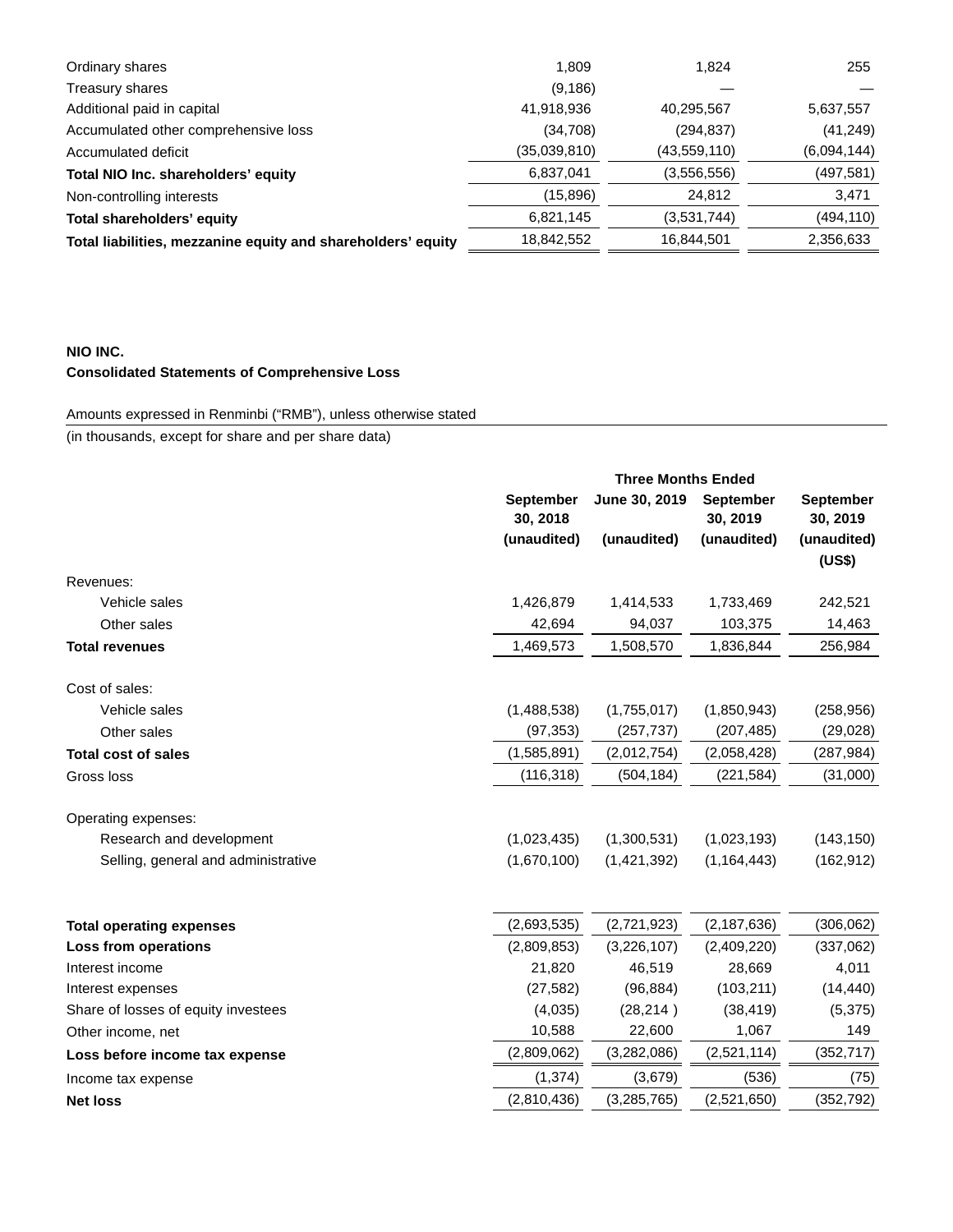| Ordinary shares                                              | 1,809        | 1.824        | 255         |
|--------------------------------------------------------------|--------------|--------------|-------------|
| Treasury shares                                              | (9, 186)     |              |             |
| Additional paid in capital                                   | 41,918,936   | 40,295,567   | 5,637,557   |
| Accumulated other comprehensive loss                         | (34, 708)    | (294, 837)   | (41, 249)   |
| Accumulated deficit                                          | (35,039,810) | (43,559,110) | (6,094,144) |
| Total NIO Inc. shareholders' equity                          | 6,837,041    | (3,556,556)  | (497, 581)  |
| Non-controlling interests                                    | (15,896)     | 24,812       | 3,471       |
| Total shareholders' equity                                   | 6,821,145    | (3,531,744)  | (494, 110)  |
| Total liabilities, mezzanine equity and shareholders' equity | 18,842,552   | 16,844,501   | 2,356,633   |

# **NIO INC. Consolidated Statements of Comprehensive Loss**

Amounts expressed in Renminbi ("RMB"), unless otherwise stated

(in thousands, except for share and per share data)

|                                     |                              | <b>Three Months Ended</b>              |               |                       |  |
|-------------------------------------|------------------------------|----------------------------------------|---------------|-----------------------|--|
|                                     | <b>September</b><br>30, 2018 | June 30, 2019<br>September<br>30, 2019 |               | September<br>30, 2019 |  |
|                                     | (unaudited)                  | (unaudited)                            | (unaudited)   | (unaudited)<br>(US\$) |  |
| Revenues:                           |                              |                                        |               |                       |  |
| Vehicle sales                       | 1,426,879                    | 1,414,533                              | 1,733,469     | 242,521               |  |
| Other sales                         | 42,694                       | 94,037                                 | 103,375       | 14,463                |  |
| <b>Total revenues</b>               | 1,469,573                    | 1,508,570                              | 1,836,844     | 256,984               |  |
| Cost of sales:                      |                              |                                        |               |                       |  |
| Vehicle sales                       | (1,488,538)                  | (1,755,017)                            | (1,850,943)   | (258, 956)            |  |
| Other sales                         | (97, 353)                    | (257, 737)                             | (207,485)     | (29, 028)             |  |
| <b>Total cost of sales</b>          | (1,585,891)                  | (2,012,754)                            | (2,058,428)   | (287, 984)            |  |
| Gross loss                          | (116, 318)                   | (504, 184)                             | (221, 584)    | (31,000)              |  |
| Operating expenses:                 |                              |                                        |               |                       |  |
| Research and development            | (1,023,435)                  | (1,300,531)                            | (1,023,193)   | (143, 150)            |  |
| Selling, general and administrative | (1,670,100)                  | (1,421,392)                            | (1, 164, 443) | (162, 912)            |  |
| <b>Total operating expenses</b>     | (2,693,535)                  | (2,721,923)                            | (2, 187, 636) | (306, 062)            |  |
| Loss from operations                | (2,809,853)                  | (3,226,107)                            | (2,409,220)   | (337,062)             |  |
| Interest income                     | 21,820                       | 46,519                                 | 28,669        | 4,011                 |  |
| Interest expenses                   | (27, 582)                    | (96, 884)                              | (103, 211)    | (14, 440)             |  |
| Share of losses of equity investees | (4,035)                      | (28, 214)                              | (38, 419)     | (5,375)               |  |
| Other income, net                   | 10,588                       | 22,600                                 | 1,067         | 149                   |  |
| Loss before income tax expense      | (2,809,062)                  | (3,282,086)                            | (2,521,114)   | (352, 717)            |  |
| Income tax expense                  | (1, 374)                     | (3,679)                                | (536)         | (75)                  |  |
| <b>Net loss</b>                     | (2,810,436)                  | (3, 285, 765)                          | (2,521,650)   | (352, 792)            |  |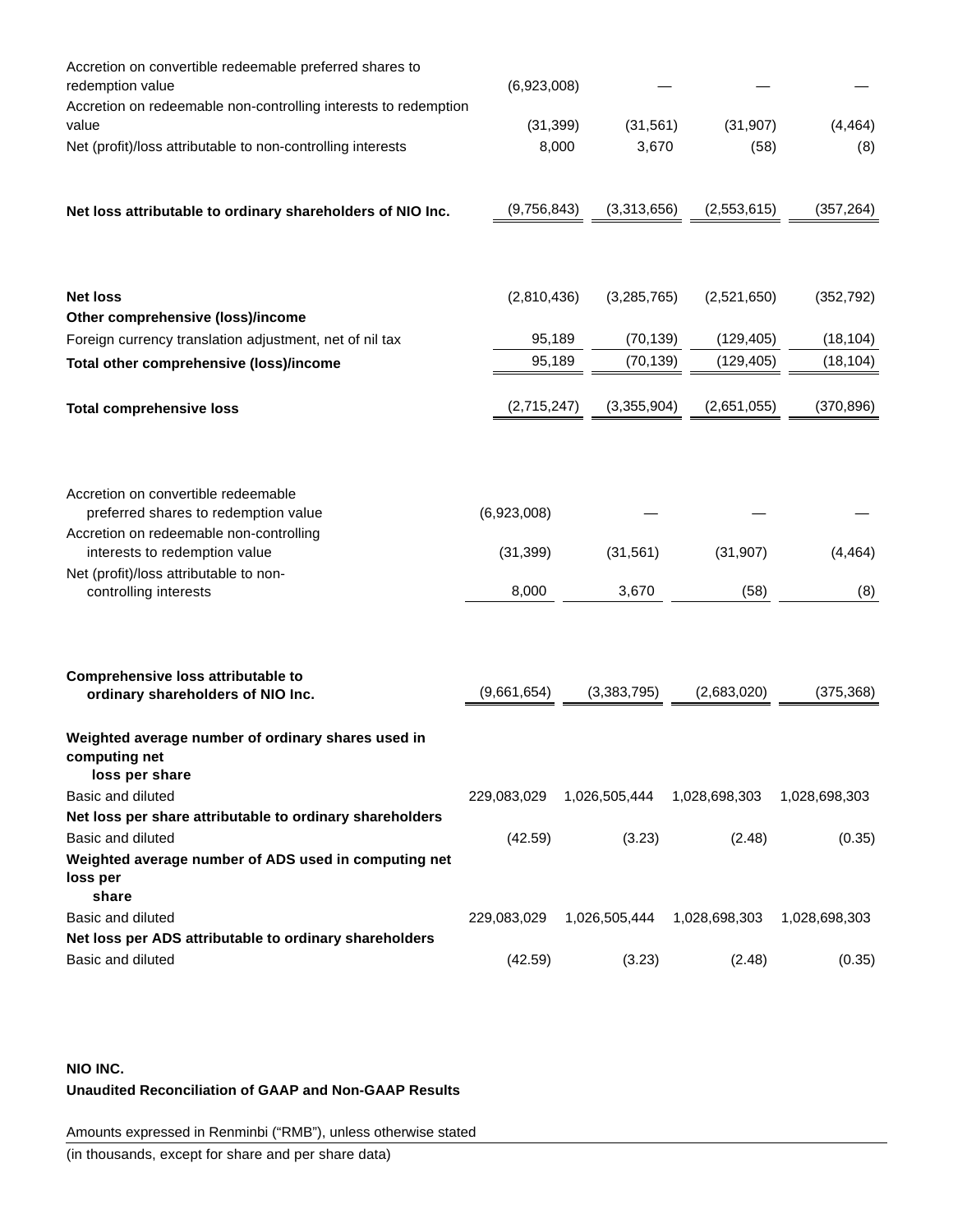| Accretion on convertible redeemable preferred shares to<br>redemption value                  | (6,923,008) |               |                         |               |
|----------------------------------------------------------------------------------------------|-------------|---------------|-------------------------|---------------|
| Accretion on redeemable non-controlling interests to redemption                              |             |               |                         |               |
| value                                                                                        |             | (31, 399)     | (31, 907)<br>(31, 561)  | (4, 464)      |
| Net (profit)/loss attributable to non-controlling interests                                  |             | 8,000         | 3,670<br>(58)           | (8)           |
|                                                                                              | (9,756,843) | (3,313,656)   | (2,553,615)             | (357, 264)    |
| Net loss attributable to ordinary shareholders of NIO Inc.                                   |             |               |                         |               |
|                                                                                              |             |               |                         |               |
| <b>Net loss</b>                                                                              | (2,810,436) | (3,285,765)   | (2,521,650)             | (352, 792)    |
| Other comprehensive (loss)/income<br>Foreign currency translation adjustment, net of nil tax |             | 95,189        | (70, 139)<br>(129, 405) | (18, 104)     |
| Total other comprehensive (loss)/income                                                      |             | 95,189        | (70, 139)<br>(129, 405) | (18, 104)     |
|                                                                                              |             |               |                         |               |
| <b>Total comprehensive loss</b>                                                              | (2,715,247) | (3,355,904)   | (2,651,055)             | (370, 896)    |
|                                                                                              |             |               |                         |               |
| Accretion on convertible redeemable                                                          |             |               |                         |               |
| preferred shares to redemption value                                                         | (6,923,008) |               |                         |               |
| Accretion on redeemable non-controlling<br>interests to redemption value                     | (31, 399)   | (31, 561)     | (31, 907)               | (4, 464)      |
| Net (profit)/loss attributable to non-                                                       |             |               |                         |               |
| controlling interests                                                                        | 8,000       | 3,670         | (58)                    | (8)           |
|                                                                                              |             |               |                         |               |
| Comprehensive loss attributable to                                                           | (9,661,654) | (3,383,795)   | (2,683,020)             | (375, 368)    |
| ordinary shareholders of NIO Inc.                                                            |             |               |                         |               |
| Weighted average number of ordinary shares used in<br>computing net                          |             |               |                         |               |
| loss per share                                                                               |             |               |                         |               |
| Basic and diluted                                                                            | 229,083,029 | 1,026,505,444 | 1,028,698,303           | 1,028,698,303 |
| Net loss per share attributable to ordinary shareholders                                     |             |               |                         |               |
| Basic and diluted                                                                            | (42.59)     | (3.23)        | (2.48)                  | (0.35)        |
| Weighted average number of ADS used in computing net<br>loss per                             |             |               |                         |               |
| share                                                                                        |             |               |                         |               |
| Basic and diluted                                                                            | 229,083,029 | 1,026,505,444 | 1,028,698,303           | 1,028,698,303 |
| Net loss per ADS attributable to ordinary shareholders                                       |             |               |                         |               |
| Basic and diluted                                                                            | (42.59)     | (3.23)        | (2.48)                  | (0.35)        |

# **NIO INC. Unaudited Reconciliation of GAAP and Non-GAAP Results**

Amounts expressed in Renminbi ("RMB"), unless otherwise stated

(in thousands, except for share and per share data)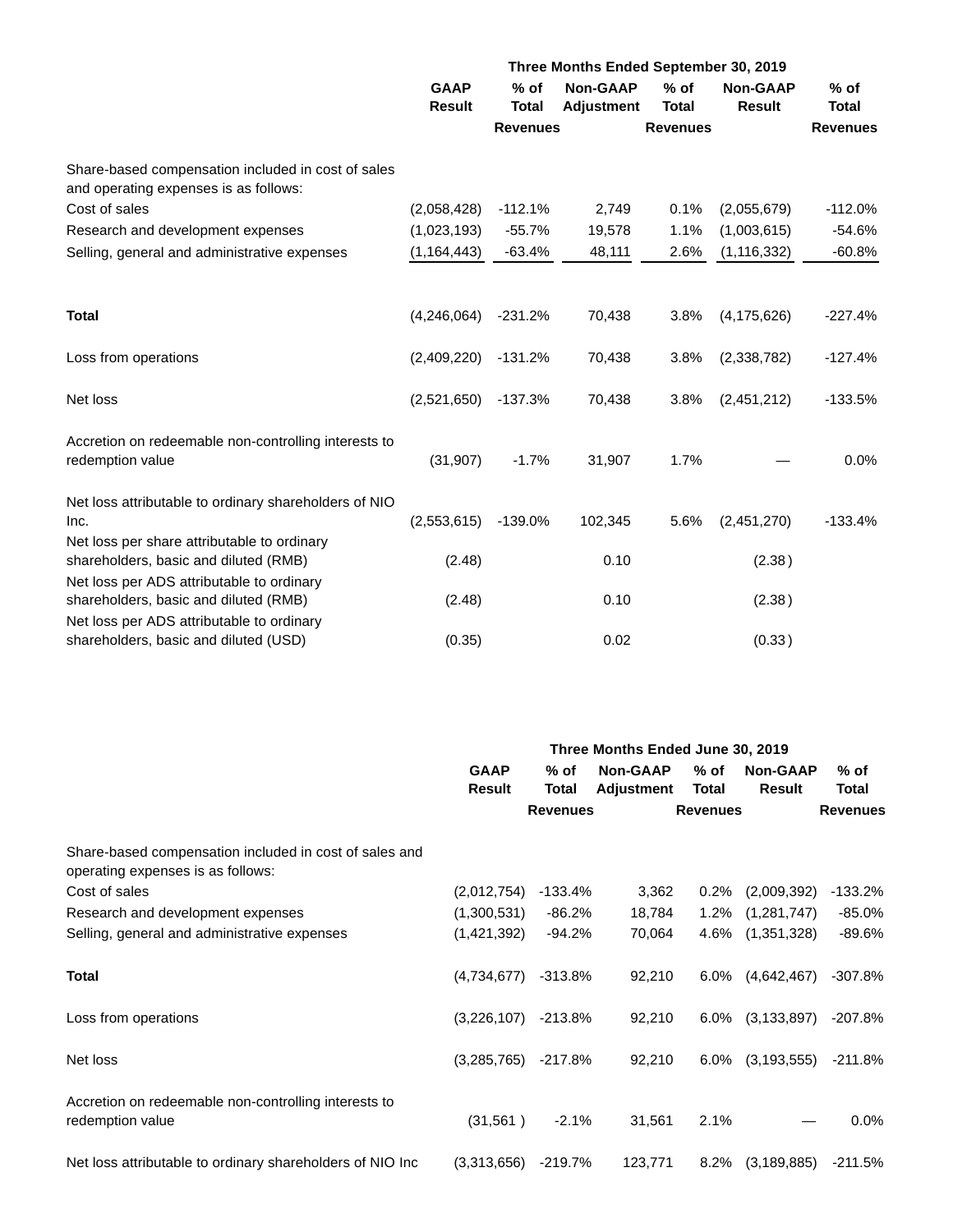|                                                                                             |               |                 | Three Months Ended September 30, 2019 |                 |                 |                 |
|---------------------------------------------------------------------------------------------|---------------|-----------------|---------------------------------------|-----------------|-----------------|-----------------|
|                                                                                             | <b>GAAP</b>   | $%$ of          | <b>Non-GAAP</b>                       | $%$ of          | <b>Non-GAAP</b> | % of            |
|                                                                                             | <b>Result</b> | <b>Total</b>    | <b>Adjustment</b>                     | <b>Total</b>    | <b>Result</b>   | <b>Total</b>    |
|                                                                                             |               | <b>Revenues</b> |                                       | <b>Revenues</b> |                 | <b>Revenues</b> |
| Share-based compensation included in cost of sales<br>and operating expenses is as follows: |               |                 |                                       |                 |                 |                 |
| Cost of sales                                                                               | (2,058,428)   | $-112.1%$       | 2,749                                 | 0.1%            | (2,055,679)     | $-112.0%$       |
| Research and development expenses                                                           | (1,023,193)   | $-55.7%$        | 19,578                                | 1.1%            | (1,003,615)     | $-54.6%$        |
| Selling, general and administrative expenses                                                | (1, 164, 443) | $-63.4%$        | 48,111                                | 2.6%            | (1, 116, 332)   | $-60.8%$        |
|                                                                                             |               |                 |                                       |                 |                 |                 |
| <b>Total</b>                                                                                | (4,246,064)   | $-231.2%$       | 70,438                                | 3.8%            | (4, 175, 626)   | $-227.4%$       |
| Loss from operations                                                                        | (2,409,220)   | $-131.2%$       | 70,438                                | 3.8%            | (2,338,782)     | $-127.4%$       |
| Net loss                                                                                    | (2,521,650)   | $-137.3%$       | 70,438                                | 3.8%            | (2,451,212)     | $-133.5%$       |
| Accretion on redeemable non-controlling interests to<br>redemption value                    | (31, 907)     | $-1.7%$         | 31,907                                | 1.7%            |                 | 0.0%            |
| Net loss attributable to ordinary shareholders of NIO<br>Inc.                               | (2,553,615)   | $-139.0%$       | 102,345                               | 5.6%            | (2,451,270)     | $-133.4%$       |
| Net loss per share attributable to ordinary<br>shareholders, basic and diluted (RMB)        | (2.48)        |                 | 0.10                                  |                 | (2.38)          |                 |
| Net loss per ADS attributable to ordinary<br>shareholders, basic and diluted (RMB)          | (2.48)        |                 | 0.10                                  |                 | (2.38)          |                 |
| Net loss per ADS attributable to ordinary<br>shareholders, basic and diluted (USD)          | (0.35)        |                 | 0.02                                  |                 | (0.33)          |                 |

|                                                                                             | Three Months Ended June 30, 2019 |                 |                   |                 |                 |                 |  |  |
|---------------------------------------------------------------------------------------------|----------------------------------|-----------------|-------------------|-----------------|-----------------|-----------------|--|--|
|                                                                                             | <b>GAAP</b>                      | $%$ of          | <b>Non-GAAP</b>   | $%$ of          | <b>Non-GAAP</b> | % of            |  |  |
|                                                                                             | <b>Result</b>                    | Total           | <b>Adjustment</b> | <b>Total</b>    | <b>Result</b>   | <b>Total</b>    |  |  |
|                                                                                             |                                  | <b>Revenues</b> |                   | <b>Revenues</b> |                 | <b>Revenues</b> |  |  |
| Share-based compensation included in cost of sales and<br>operating expenses is as follows: |                                  |                 |                   |                 |                 |                 |  |  |
| Cost of sales                                                                               | (2,012,754)                      | $-133.4%$       | 3,362             | $0.2\%$         | (2,009,392)     | $-133.2%$       |  |  |
| Research and development expenses                                                           | (1,300,531)                      | -86.2%          | 18,784            | 1.2%            | (1,281,747)     | $-85.0%$        |  |  |
| Selling, general and administrative expenses                                                | (1,421,392)                      | -94.2%          | 70,064            | 4.6%            | (1,351,328)     | $-89.6%$        |  |  |
| <b>Total</b>                                                                                | (4,734,677)                      | $-313.8%$       | 92,210            | $6.0\%$         | (4,642,467)     | $-307.8%$       |  |  |
| Loss from operations                                                                        | (3,226,107)                      | $-213.8%$       | 92,210            | $6.0\%$         | (3, 133, 897)   | $-207.8%$       |  |  |
| Net loss                                                                                    | (3,285,765)                      | $-217.8%$       | 92,210            | $6.0\%$         | (3, 193, 555)   | $-211.8%$       |  |  |
| Accretion on redeemable non-controlling interests to<br>redemption value                    | (31, 561)                        | $-2.1%$         | 31,561            | 2.1%            |                 | $0.0\%$         |  |  |
| Net loss attributable to ordinary shareholders of NIO Inc                                   | (3,313,656)                      | $-219.7%$       | 123,771           | $8.2\%$         | (3, 189, 885)   | $-211.5%$       |  |  |